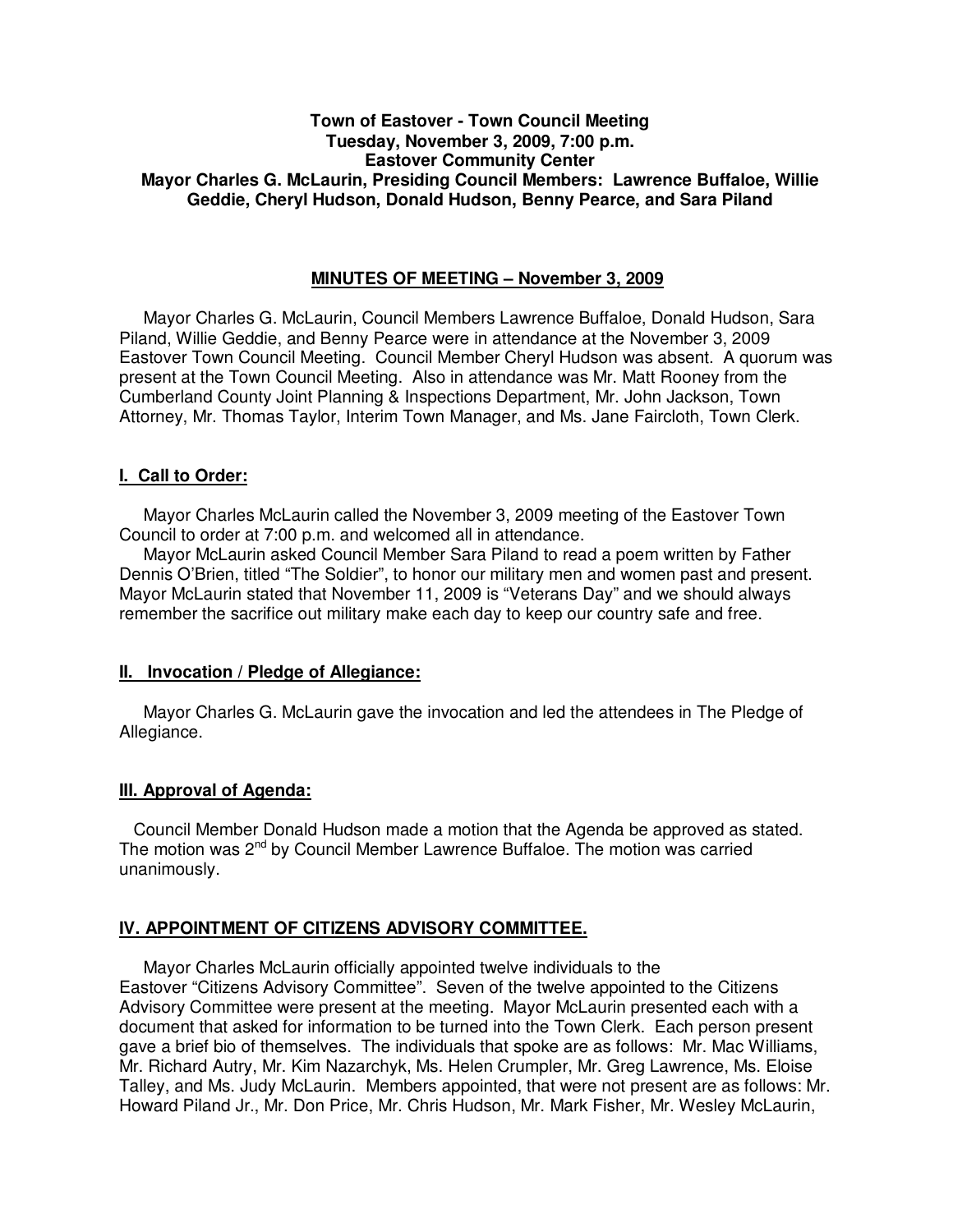## **Town of Eastover - Town Council Meeting Tuesday, November 3, 2009, 7:00 p.m. Eastover Community Center Mayor Charles G. McLaurin, Presiding Council Members: Lawrence Buffaloe, Willie Geddie, Cheryl Hudson, Donald Hudson, Benny Pearce, and Sara Piland**

## **MINUTES OF MEETING – November 3, 2009**

Mayor Charles G. McLaurin, Council Members Lawrence Buffaloe, Donald Hudson, Sara Piland, Willie Geddie, and Benny Pearce were in attendance at the November 3, 2009 Eastover Town Council Meeting. Council Member Cheryl Hudson was absent. A quorum was present at the Town Council Meeting. Also in attendance was Mr. Matt Rooney from the Cumberland County Joint Planning & Inspections Department, Mr. John Jackson, Town Attorney, Mr. Thomas Taylor, Interim Town Manager, and Ms. Jane Faircloth, Town Clerk.

### **I. Call to Order:**

Mayor Charles McLaurin called the November 3, 2009 meeting of the Eastover Town Council to order at 7:00 p.m. and welcomed all in attendance.

 Mayor McLaurin asked Council Member Sara Piland to read a poem written by Father Dennis O'Brien, titled "The Soldier", to honor our military men and women past and present. Mayor McLaurin stated that November 11, 2009 is "Veterans Day" and we should always remember the sacrifice out military make each day to keep our country safe and free.

# **II. Invocation / Pledge of Allegiance:**

 Mayor Charles G. McLaurin gave the invocation and led the attendees in The Pledge of Allegiance.

### **III. Approval of Agenda:**

 Council Member Donald Hudson made a motion that the Agenda be approved as stated. The motion was  $2<sup>nd</sup>$  by Council Member Lawrence Buffaloe. The motion was carried unanimously.

# **IV. APPOINTMENT OF CITIZENS ADVISORY COMMITTEE.**

 Mayor Charles McLaurin officially appointed twelve individuals to the Eastover "Citizens Advisory Committee". Seven of the twelve appointed to the Citizens Advisory Committee were present at the meeting. Mayor McLaurin presented each with a document that asked for information to be turned into the Town Clerk. Each person present gave a brief bio of themselves. The individuals that spoke are as follows: Mr. Mac Williams, Mr. Richard Autry, Mr. Kim Nazarchyk, Ms. Helen Crumpler, Mr. Greg Lawrence, Ms. Eloise Talley, and Ms. Judy McLaurin. Members appointed, that were not present are as follows: Mr. Howard Piland Jr., Mr. Don Price, Mr. Chris Hudson, Mr. Mark Fisher, Mr. Wesley McLaurin,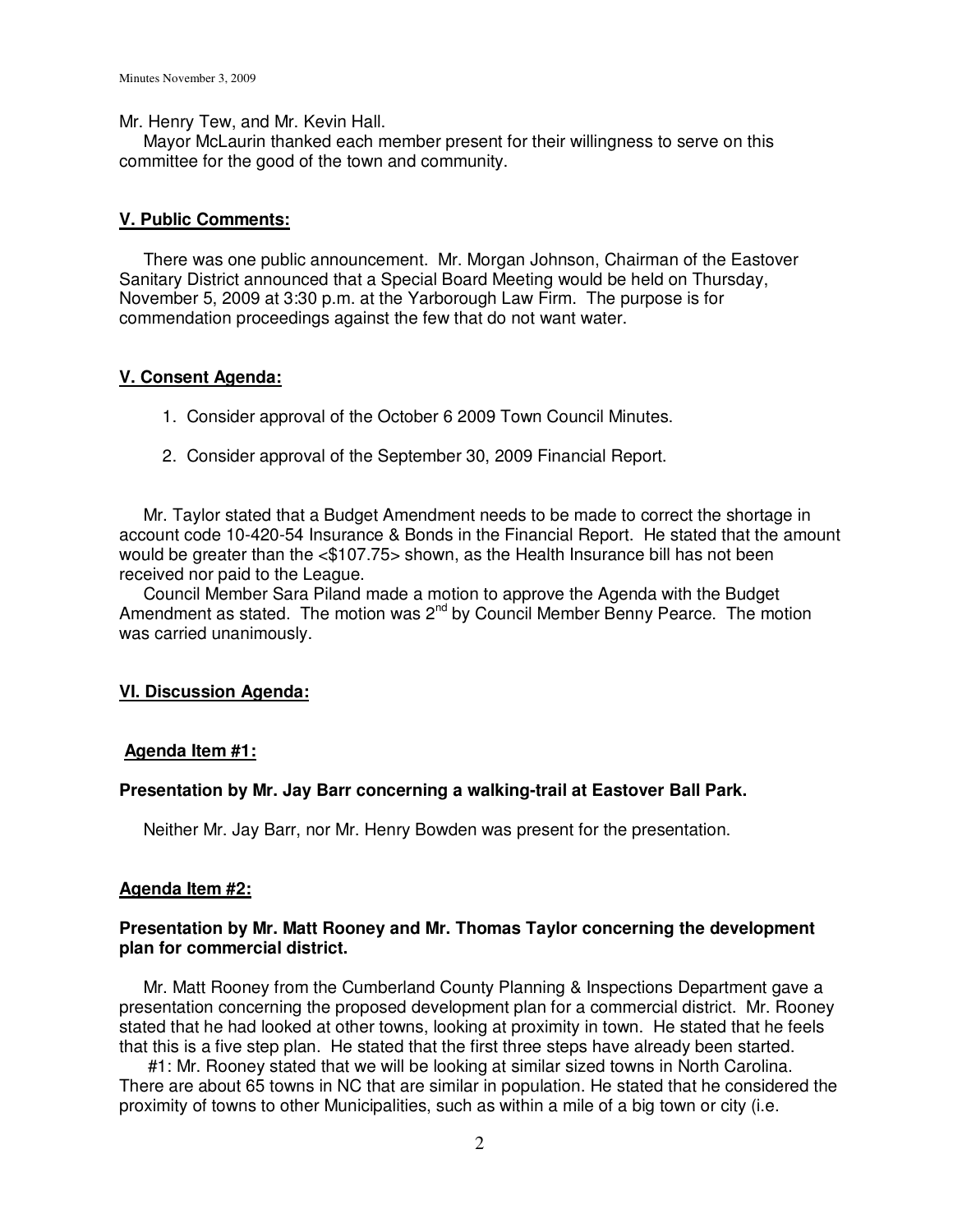Mr. Henry Tew, and Mr. Kevin Hall.

 Mayor McLaurin thanked each member present for their willingness to serve on this committee for the good of the town and community.

### **V. Public Comments:**

 There was one public announcement. Mr. Morgan Johnson, Chairman of the Eastover Sanitary District announced that a Special Board Meeting would be held on Thursday, November 5, 2009 at 3:30 p.m. at the Yarborough Law Firm. The purpose is for commendation proceedings against the few that do not want water.

### **V. Consent Agenda:**

- 1. Consider approval of the October 6 2009 Town Council Minutes.
- 2. Consider approval of the September 30, 2009 Financial Report.

 Mr. Taylor stated that a Budget Amendment needs to be made to correct the shortage in account code 10-420-54 Insurance & Bonds in the Financial Report. He stated that the amount would be greater than the <\$107.75> shown, as the Health Insurance bill has not been received nor paid to the League.

 Council Member Sara Piland made a motion to approve the Agenda with the Budget Amendment as stated. The motion was  $2^{nd}$  by Council Member Benny Pearce. The motion was carried unanimously.

### **VI. Discussion Agenda:**

#### **Agenda Item #1:**

#### **Presentation by Mr. Jay Barr concerning a walking-trail at Eastover Ball Park.**

Neither Mr. Jay Barr, nor Mr. Henry Bowden was present for the presentation.

#### **Agenda Item #2:**

### **Presentation by Mr. Matt Rooney and Mr. Thomas Taylor concerning the development plan for commercial district.**

 Mr. Matt Rooney from the Cumberland County Planning & Inspections Department gave a presentation concerning the proposed development plan for a commercial district. Mr. Rooney stated that he had looked at other towns, looking at proximity in town. He stated that he feels that this is a five step plan. He stated that the first three steps have already been started.

 #1: Mr. Rooney stated that we will be looking at similar sized towns in North Carolina. There are about 65 towns in NC that are similar in population. He stated that he considered the proximity of towns to other Municipalities, such as within a mile of a big town or city (i.e.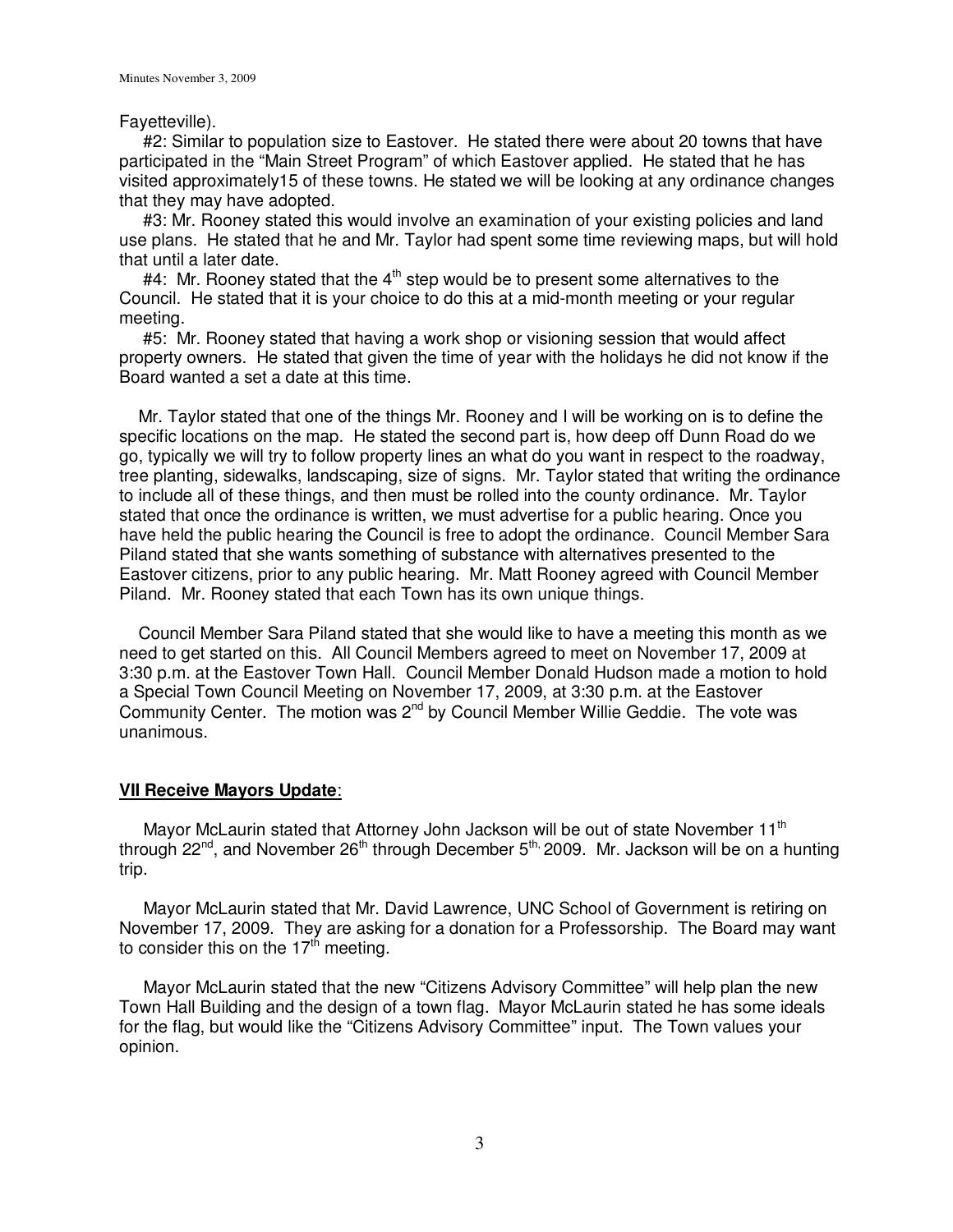## Fayetteville).

 #2: Similar to population size to Eastover. He stated there were about 20 towns that have participated in the "Main Street Program" of which Eastover applied. He stated that he has visited approximately15 of these towns. He stated we will be looking at any ordinance changes that they may have adopted.

 #3: Mr. Rooney stated this would involve an examination of your existing policies and land use plans. He stated that he and Mr. Taylor had spent some time reviewing maps, but will hold that until a later date.

#4: Mr. Rooney stated that the  $4<sup>th</sup>$  step would be to present some alternatives to the Council. He stated that it is your choice to do this at a mid-month meeting or your regular meeting.

 #5: Mr. Rooney stated that having a work shop or visioning session that would affect property owners. He stated that given the time of year with the holidays he did not know if the Board wanted a set a date at this time.

 Mr. Taylor stated that one of the things Mr. Rooney and I will be working on is to define the specific locations on the map. He stated the second part is, how deep off Dunn Road do we go, typically we will try to follow property lines an what do you want in respect to the roadway, tree planting, sidewalks, landscaping, size of signs. Mr. Taylor stated that writing the ordinance to include all of these things, and then must be rolled into the county ordinance. Mr. Taylor stated that once the ordinance is written, we must advertise for a public hearing. Once you have held the public hearing the Council is free to adopt the ordinance. Council Member Sara Piland stated that she wants something of substance with alternatives presented to the Eastover citizens, prior to any public hearing. Mr. Matt Rooney agreed with Council Member Piland. Mr. Rooney stated that each Town has its own unique things.

 Council Member Sara Piland stated that she would like to have a meeting this month as we need to get started on this. All Council Members agreed to meet on November 17, 2009 at 3:30 p.m. at the Eastover Town Hall. Council Member Donald Hudson made a motion to hold a Special Town Council Meeting on November 17, 2009, at 3:30 p.m. at the Eastover Community Center. The motion was 2<sup>nd</sup> by Council Member Willie Geddie. The vote was unanimous.

# **VII Receive Mayors Update**:

Mayor McLaurin stated that Attorney John Jackson will be out of state November 11<sup>th</sup> through 22 $n<sup>rd</sup>$ , and November 26<sup>th</sup> through December 5<sup>th,</sup> 2009. Mr. Jackson will be on a hunting trip.

 Mayor McLaurin stated that Mr. David Lawrence, UNC School of Government is retiring on November 17, 2009. They are asking for a donation for a Professorship. The Board may want to consider this on the  $17<sup>th</sup>$  meeting.

 Mayor McLaurin stated that the new "Citizens Advisory Committee" will help plan the new Town Hall Building and the design of a town flag. Mayor McLaurin stated he has some ideals for the flag, but would like the "Citizens Advisory Committee" input. The Town values your opinion.